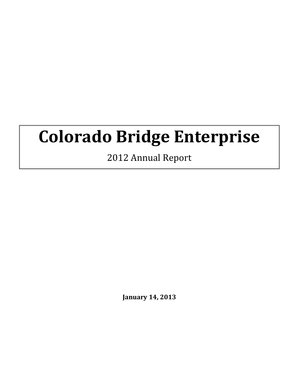# **Colorado Bridge Enterprise**

2012 Annual Report

**January 14, 2013**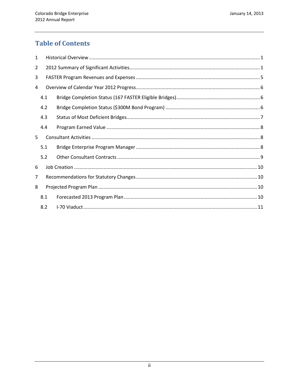# **Table of Contents**

| $\mathbf{1}$   |     |  |  |  |
|----------------|-----|--|--|--|
| $\overline{2}$ |     |  |  |  |
| 3              |     |  |  |  |
| 4              |     |  |  |  |
|                | 4.1 |  |  |  |
|                | 4.2 |  |  |  |
|                | 4.3 |  |  |  |
|                | 4.4 |  |  |  |
| 5.             |     |  |  |  |
|                | 5.1 |  |  |  |
|                | 5.2 |  |  |  |
| 6              |     |  |  |  |
| 7              |     |  |  |  |
| 8              |     |  |  |  |
|                | 8.1 |  |  |  |
|                | 8.2 |  |  |  |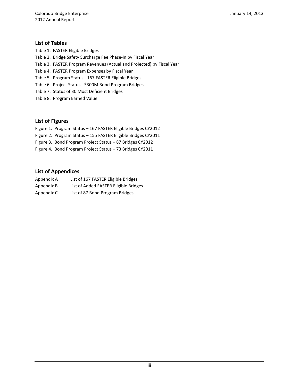#### **List of Tables**

- Table 1. FASTER Eligible Bridges
- Table 2. Bridge Safety Surcharge Fee Phase-in by Fiscal Year
- Table 3. FASTER Program Revenues (Actual and Projected) by Fiscal Year
- Table 4. FASTER Program Expenses by Fiscal Year
- Table 5. Program Status 167 FASTER Eligible Bridges
- Table 6. Project Status \$300M Bond Program Bridges
- Table 7. Status of 30 Most Deficient Bridges
- Table 8. Program Earned Value

#### **List of Figures**

- Figure 1. Program Status 167 FASTER Eligible Bridges CY2012
- Figure 2: Program Status 155 FASTER Eligible Bridges CY2011
- Figure 3. Bond Program Project Status 87 Bridges CY2012
- Figure 4. Bond Program Project Status 73 Bridges CY2011

#### **List of Appendices**

| Appendix A | List of 167 FASTER Eligible Bridges   |
|------------|---------------------------------------|
| Appendix B | List of Added FASTER Eligible Bridges |
| Appendix C | List of 87 Bond Program Bridges       |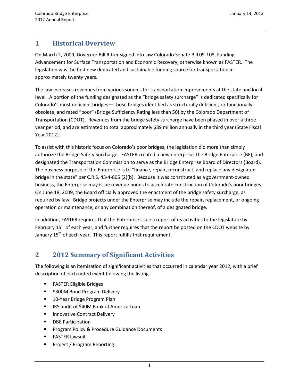# **1 Historical Overview**

On March 2, 2009, Governor Bill Ritter signed into law Colorado Senate Bill 09-108, Funding Advancement for Surface Transportation and Economic Recovery, otherwise known as FASTER. The legislation was the first new dedicated and sustainable funding source for transportation in approximately twenty years.

The law increases revenues from various sources for transportation improvements at the state and local level. A portion of the funding designated as the "bridge safety surcharge" is dedicated specifically for Colorado's most deficient bridges— those bridges identified as structurally deficient, or functionally obsolete, and rated "poor" (Bridge Sufficiency Rating less than 50) by the Colorado Department of Transportation (CDOT). Revenues from the bridge safety surcharge have been phased in over a three year period, and are estimated to total approximately \$89 million annually in the third year (State Fiscal Year 2012).

To assist with this historic focus on Colorado's poor bridges, the legislation did more than simply authorize the Bridge Safety Surcharge. FASTER created a new enterprise, the Bridge Enterprise (BE), and designated the Transportation Commission to serve as the Bridge Enterprise Board of Directors (Board). The business purpose of the Enterprise is to "finance, repair, reconstruct, and replace any designated bridge in the state" per C.R.S. 43-4-805 (2)(b). Because it was constituted as a government-owned business, the Enterprise may issue revenue bonds to accelerate construction of Colorado's poor bridges. On June 18, 2009, the Board officially approved the enactment of the bridge safety surcharge, as required by law. Bridge projects under the Enterprise may include the repair, replacement, or ongoing operation or maintenance, or any combination thereof, of a designated bridge.

In addition, FASTER requires that the Enterprise issue a report of its activities to the legislature by February 15<sup>th</sup> of each year, and further requires that the report be posted on the CDOT website by January  $15<sup>th</sup>$  of each year. This report fulfills that requirement.

# **2 2012 Summary of Significant Activities**

The following is an itemization of significant activities that occurred in calendar year 2012, with a brief description of each noted event following the listing.

- **FASTER Eligible Bridges**
- \$300M Bond Program Delivery
- 10-Year Bridge Program Plan
- **IF IRS audit of \$40M Bank of America Loan**
- **Innovative Contract Delivery**
- **•** DBE Participation
- **Program Policy & Procedure Guidance Documents**
- **FASTER lawsuit**
- Project / Program Reporting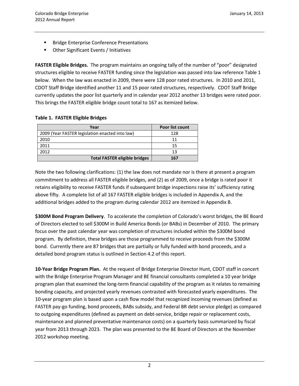- Bridge Enterprise Conference Presentations
- Other Significant Events / Initiatives

**FASTER Eligible Bridges.** The program maintains an ongoing tally of the number of "poor" designated structures eligible to receive FASTER funding since the legislation was passed into law reference Table 1 below. When the law was enacted in 2009, there were 128 poor rated structures. In 2010 and 2011, CDOT Staff Bridge identified another 11 and 15 poor rated structures, respectively. CDOT Staff Bridge currently updates the poor list quarterly and in calendar year 2012 another 13 bridges were rated poor. This brings the FASTER eligible bridge count total to 167 as itemized below.

#### **Table 1. FASTER Eligible Bridges**

| Year                                            | Poor list count |
|-------------------------------------------------|-----------------|
| 2009 (Year FASTER legislation enacted into law) | 128             |
| 2010                                            | 11              |
| 2011                                            | 15              |
| 2012                                            | 13              |
| <b>Total FASTER eligible bridges</b>            | 167             |

Note the two following clarifications: (1) the law does not mandate nor is there at present a program commitment to address all FASTER eligible bridges, and (2) as of 2009, once a bridge is rated poor it retains eligibility to receive FASTER funds if subsequent bridge inspections raise its' sufficiency rating above fifty. A complete list of all 167 FASTER eligible bridges is included in Appendix A, and the additional bridges added to the program during calendar 2012 are itemized in Appendix B.

**\$300M Bond Program Delivery**. To accelerate the completion of Colorado's worst bridges, the BE Board of Directors elected to sell \$300M in Build America Bonds (or BABs) in December of 2010. The primary focus over the past calendar year was completion of structures included within the \$300M bond program. By definition, these bridges are those programmed to receive proceeds from the \$300M bond. Currently there are 87 bridges that are partially or fully funded with bond proceeds, and a detailed bond program status is outlined in Section 4.2 of this report.

**10-Year Bridge Program Plan.** At the request of Bridge Enterprise Director Hunt, CDOT staff in concert with the Bridge Enterprise Program Manager and BE financial consultants completed a 10 year bridge program plan that examined the long-term financial capability of the program as it relates to remaining bonding capacity, and projected yearly revenues contrasted with forecasted yearly expenditures. The 10-year program plan is based upon a cash flow model that recognized incoming revenues (defined as FASTER pay-go funding, bond proceeds, BABs subsidy, and Federal BR debt service pledge) as compared to outgoing expenditures (defined as payment on debt-service, bridge repair or replacement costs, maintenance and planned preventative maintenance costs) on a quarterly basis summarized by fiscal year from 2013 through 2023. The plan was presented to the BE Board of Directors at the November 2012 workshop meeting.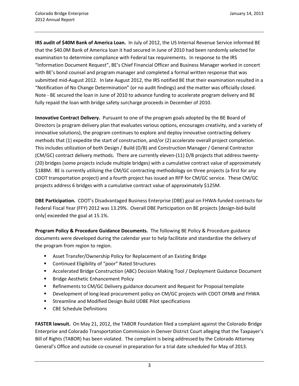**IRS audit of \$40M Bank of America Loan.** In July of 2012, the US Internal Revenue Service informed BE that the \$40.0M Bank of America loan it had secured in June of 2010 had been randomly selected for examination to determine compliance with Federal tax requirements. In response to the IRS "Information Document Request", BE's Chief Financial Officer and Business Manager worked in concert with BE's bond counsel and program manager and completed a formal written response that was submitted mid-August 2012. In late August 2012, the IRS notified BE that their examination resulted in a "Notification of No Change Determination" (or no audit findings) and the matter was officially closed. Note - BE secured the loan in June of 2010 to advance funding to accelerate program delivery and BE fully repaid the loan with bridge safety surcharge proceeds in December of 2010.

**Innovative Contract Delivery.** Pursuant to one of the program goals adopted by the BE Board of Directors (a program delivery plan that evaluates various options, encourages creativity, and a variety of innovative solutions), the program continues to explore and deploy innovative contracting delivery methods that (1) expedite the start of construction, and/or (2) accelerate overall project completion. This includes utilization of both Design / Build (D/B) and Construction Manager / General Contractor (CM/GC) contract delivery methods. There are currently eleven-(11) D/B projects that address twenty- (20) bridges (some projects include multiple bridges) with a cumulative contract value of approximately \$188M. BE is currently utilizing the CM/GC contracting methodology on three projects (a first for any CDOT transportation project) and a fourth project has issued an RFP for CM/GC service. These CM/GC projects address 6 bridges with a cumulative contract value of approximately \$125M.

**DBE Participation.** CDOT's Disadvantaged Business Enterprise (DBE) goal on FHWA-funded contracts for Federal Fiscal Year (FFY) 2012 was 13.29%. Overall DBE Participation on BE projects [design-bid-build only] exceeded the goal at 15.1%.

**Program Policy & Procedure Guidance Documents.** The following BE Policy & Procedure guidance documents were developed during the calendar year to help facilitate and standardize the delivery of the program from region to region.

- Asset Transfer/Ownership Policy for Replacement of an Existing Bridge
- Continued Eligibility of "poor" Rated Structures
- Accelerated Bridge Construction (ABC) Decision Making Tool / Deployment Guidance Document
- **Bridge Aesthetic Enhancement Policy**
- **EXPERENT ENDIRE THE INCORDER FIRE THE REFILTION CONTENT** PREFINEMENT PROPOSAL template
- **Development of long-lead procurement policy on CM/GC projects with CDOT OFMB and FHWA**
- **EXTERM** Streamline and Modified Design Build UDBE Pilot specifications
- CBE Schedule Definitions

**FASTER lawsuit.** On May 21, 2012, the TABOR Foundation filed a complaint against the Colorado Bridge Enterprise and Colorado Transportation Commission in Denver District Court alleging that the Taxpayer's Bill of Rights (TABOR) has been violated. The complaint is being addressed by the Colorado Attorney General's Office and outside co-counsel in preparation for a trial date scheduled for May of 2013.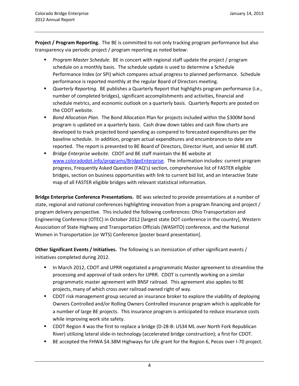**Project / Program Reporting.** The BE is committed to not only tracking program performance but also transparency via periodic project / program reporting as noted below:

- *Program Master Schedule.* BE in concert with regional staff update the project / program schedule on a monthly basis. The schedule update is used to determine a Schedule Performance Index (or SPI) which compares actual progress to planned performance. Schedule performance is reported monthly at the regular Board of Directors meeting.
- *Quarterly Reporting.* BE publishes a Quarterly Report that highlights program performance (i.e., number of completed bridges), significant accomplishments and activities, financial and schedule metrics, and economic outlook on a quarterly basis. Quarterly Reports are posted on the CDOT website.
- *Bond Allocation Plan.* The Bond Allocation Plan for projects included within the \$300M bond program is updated on a quarterly basis. Cash draw down tables and cash flow charts are developed to track projected bond spending as compared to forecasted expenditures per the baseline schedule. In addition, program actual expenditures and encumbrances to date are reported. The report is presented to BE Board of Directors, Director Hunt, and senior BE staff.
- *Bridge Enterprise website.* CDOT and BE staff maintain the BE website at www.coloradodot.info/programs/BridgeEnterprise. The information includes: current program progress, Frequently Asked Question (FAQ's) section, comprehensive list of FASTER eligible bridges, section on business opportunities with link to current bid list, and an interactive State map of all FASTER eligible bridges with relevant statistical information.

**Bridge Enterprise Conference Presentations.** BE was selected to provide presentations at a number of state, regional and national conferences highlighting innovation from a program financing and project / program delivery perspective. This included the following conferences: Ohio Transportation and Engineering Conference (OTEC) in October 2012 [largest state DOT conference in the country], Western Association of State Highway and Transportation Officials (WASHTO) conference, and the National Women in Transportation (or WTS) Conference [poster board presentation].

**Other Significant Events / Initiatives.** The following is an itemization of other significant events / initiatives completed during 2012.

- In March 2012, CDOT and UPRR negotiated a programmatic Master agreement to streamline the processing and approval of task orders for UPRR. CDOT is currently working on a similar programmatic master agreement with BNSF railroad. This agreement also applies to BE projects, many of which cross over railroad owned right of way.
- **DED** Tisk management group secured an insurance broker to explore the viability of deploying Owners Controlled and/or Rolling Owners Controlled insurance program which is applicable for a number of large BE projects. This insurance program is anticipated to reduce insurance costs while improving work site safety.
- CDOT Region 4 was the first to replace a bridge (D-28-B: US34 ML over North Fork Republican River) utilizing lateral slide-in technology (accelerated bridge construction); a first for CDOT.
- **BE accepted the FHWA \$4.38M Highways for Life grant for the Region 6, Pecos over I-70 project.**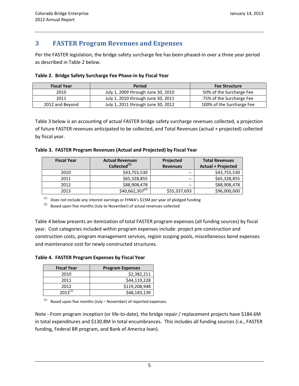# **3 FASTER Program Revenues and Expenses**

Per the FASTER legislation, the bridge safety surcharge fee has been phased-in over a three year period as described in Table 2 below.

| <b>Fiscal Year</b> | Period                             | <b>Fee Structure</b>      |
|--------------------|------------------------------------|---------------------------|
| 2010               | July 1, 2009 through June 30, 2010 | 50% of the Surcharge Fee  |
| 2011               | July 1, 2010 through June 30, 2011 | 75% of the Surcharge Fee  |
| 2012 and Beyond    | July 1, 2011 through June 30, 2012 | 100% of the Surcharge Fee |

Table 3 below is an accounting of actual FASTER bridge safety surcharge revenues collected, a projection of future FASTER revenues anticipated to be collected, and Total Revenues (actual + projected) collected by fiscal year.

|  | Table 3. FASTER Program Revenues (Actual and Projected) by Fiscal Year |
|--|------------------------------------------------------------------------|
|--|------------------------------------------------------------------------|

| <b>Fiscal Year</b> | <b>Actual Revenues</b>      | Projected       | <b>Total Revenues</b>     |
|--------------------|-----------------------------|-----------------|---------------------------|
|                    | Collected <sup>(1)</sup>    | <b>Revenues</b> | <b>Actual + Projected</b> |
| 2010               | \$43,755,530                | --              | \$43,755,530              |
| 2011               | \$65,328,855                | --              | \$65,328,855              |
| 2012               | \$88,908,478                | $-$             | \$88,908,478              |
| 2013               | \$40,662,307 <sup>(2)</sup> | \$55,337,693    | \$96,000,000              |

 $(1)$  Does not include any interest earnings or FHWA's \$15M per year of pledged funding

 $(2)$  Based upon five months (July to November) of actual revenues collected

Table 4 below presents an itemization of total FASTER program expenses (all funding sources) by fiscal year. Cost categories included within program expenses include: project pre-construction and construction costs, program management services, region scoping pools, miscellaneous bond expenses and maintenance cost for newly constructed structures.

**Table 4. FASTER Program Expenses by Fiscal Year**

| <b>Fiscal Year</b> | <b>Program Expenses</b> |
|--------------------|-------------------------|
| 2010               | \$2,382,211             |
| 2011               | \$44,119,228            |
| 2012               | \$119,208,948           |
| $2013^{(1)}$       | \$48,183,139            |

 $(1)$  Based upon five months (July – November) of reported expenses.

Note - From program inception (or life-to-date), the bridge repair / replacement projects have \$184.6M in total expenditures and \$130.8M in total encumbrances. This includes all funding sources (i.e., FASTER funding, Federal BR program, and Bank of America loan).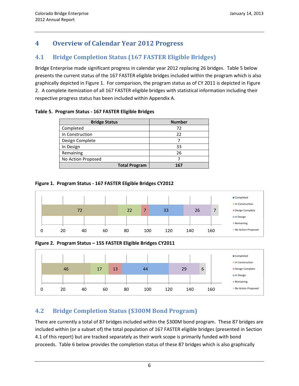# **4 Overview of Calendar Year 2012 Progress**

# **4.1 Bridge Completion Status (167 FASTER Eligible Bridges)**

Bridge Enterprise made significant progress in calendar year 2012 replacing 26 bridges. Table 5 below presents the current status of the 167 FASTER eligible bridges included within the program which is also graphically depicted in Figure 1. For comparison, the program status as of CY 2011 is depicted in Figure 2. A complete itemization of all 167 FASTER eligible bridges with statistical information including their respective progress status has been included within Appendix A.

| Table 5. Program Status - 167 FASTER Eligible Bridges |                      |               |
|-------------------------------------------------------|----------------------|---------------|
|                                                       | <b>Bridge Status</b> | <b>Number</b> |
|                                                       |                      |               |

| <b>Bridge Status</b> | Number |
|----------------------|--------|
| Completed            | 72     |
| In Construction      | 22     |
| Design Complete      |        |
| In Design            | 33     |
| Remaining            | 26     |
| No Action Proposed   |        |
| <b>Total Program</b> | 167    |

## **Figure 1. Program Status - 167 FASTER Eligible Bridges CY2012**



**Figure 2. Program Status – 155 FASTER Eligible Bridges CY2011**



# **4.2 Bridge Completion Status (\$300M Bond Program)**

There are currently a total of 87 bridges included within the \$300M bond program. These 87 bridges are included within (or a subset of) the total population of 167 FASTER eligible bridges (presented in Section 4.1 of this report) but are tracked separately as their work scope is primarily funded with bond proceeds. Table 6 below provides the completion status of these 87 bridges which is also graphically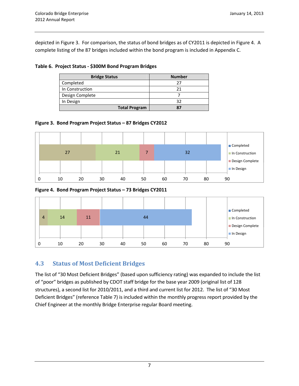depicted in Figure 3. For comparison, the status of bond bridges as of CY2011 is depicted in Figure 4. A complete listing of the 87 bridges included within the bond program is included in Appendix C.

#### **Table 6. Project Status - \$300M Bond Program Bridges**

| <b>Bridge Status</b> | <b>Number</b> |
|----------------------|---------------|
| Completed            | 77            |
| In Construction      | 21            |
| Design Complete      |               |
| In Design            | 32            |
| <b>Total Program</b> |               |

### **Figure 3. Bond Program Project Status – 87 Bridges CY2012**



#### **Figure 4. Bond Program Project Status – 73 Bridges CY2011**



## **4.3 Status of Most Deficient Bridges**

The list of "30 Most Deficient Bridges" (based upon sufficiency rating) was expanded to include the list of "poor" bridges as published by CDOT staff bridge for the base year 2009 (original list of 128 structures), a second list for 2010/2011, and a third and current list for 2012. The list of "30 Most Deficient Bridges" (reference Table 7) is included within the monthly progress report provided by the Chief Engineer at the monthly Bridge Enterprise regular Board meeting.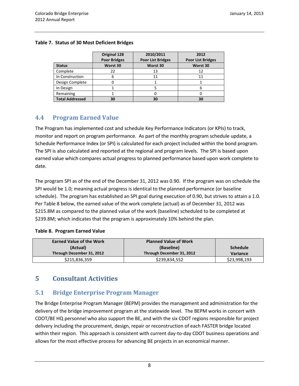|                        | Original 128<br><b>Poor Bridges</b> | 2010/2011<br><b>Poor List Bridges</b> | 2012<br><b>Poor List Bridges</b> |
|------------------------|-------------------------------------|---------------------------------------|----------------------------------|
| <b>Status</b>          | Worst 30                            | Worst 30                              | Worst 30                         |
| Complete               | 22                                  | 13                                    | 12                               |
| In Construction        | 6                                   | 11                                    | 11                               |
| Design Complete        |                                     |                                       |                                  |
| In Design              |                                     |                                       |                                  |
| Remaining              |                                     |                                       |                                  |
| <b>Total Addressed</b> | 30                                  | 30                                    | 30                               |

#### **Table 7. Status of 30 Most Deficient Bridges**

## **4.4 Program Earned Value**

The Program has implemented cost and schedule Key Performance Indicators (or KPIs) to track, monitor and report on program performance. As part of the monthly program schedule update, a Schedule Performance Index (or SPI) is calculated for each project included within the bond program. The SPI is also calculated and reported at the regional and program levels. The SPI is based upon earned value which compares actual progress to planned performance based upon work complete to date.

The program SPI as of the end of the December 31, 2012 was 0.90. If the program was on schedule the SPI would be 1.0; meaning actual progress is identical to the planned performance (or baseline schedule). The program has established an SPI goal during execution of 0.90, but strives to attain a 1.0. Per Table 8 below, the earned value of the work complete (actual) as of December 31, 2012 was \$215.8M as compared to the planned value of the work (baseline) scheduled to be completed at \$239.8M; which indicates that the program is approximately 10% behind the plan.

#### **Table 8. Program Earned Value**

| <b>Earned Value of the Work</b> | <b>Planned Value of Work</b> |                 |
|---------------------------------|------------------------------|-----------------|
| (Actual)                        | (Baseline)                   | <b>Schedule</b> |
| Through December 31, 2012       | Through December 31, 2012    | Variance        |
| \$215,836,359                   | \$239,834,552                | \$23,998,193    |

## **5 Consultant Activities**

## **5.1 Bridge Enterprise Program Manager**

The Bridge Enterprise Program Manager (BEPM) provides the management and administration for the delivery of the bridge improvement program at the statewide level. The BEPM works in concert with CDOT/BE HQ personnel who also support the BE, and with the six CDOT regions responsible for project delivery including the procurement, design, repair or reconstruction of each FASTER bridge located within their region. This approach is consistent with current day-to-day CDOT business operations and allows for the most effective process for advancing BE projects in an economical manner.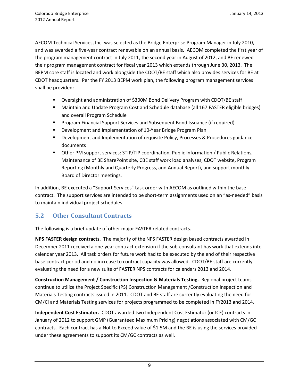AECOM Technical Services, Inc. was selected as the Bridge Enterprise Program Manager in July 2010, and was awarded a five-year contract renewable on an annual basis. AECOM completed the first year of the program management contract in July 2011, the second year in August of 2012, and BE renewed their program management contract for fiscal year 2013 which extends through June 30, 2013. The BEPM core staff is located and work alongside the CDOT/BE staff which also provides services for BE at CDOT headquarters. Per the FY 2013 BEPM work plan, the following program management services shall be provided:

- Oversight and administration of \$300M Bond Delivery Program with CDOT/BE staff
- Maintain and Update Program Cost and Schedule database (all 167 FASTER eligible bridges) and overall Program Schedule
- **Program Financial Support Services and Subsequent Bond Issuance (if required)**
- **Development and Implementation of 10-Year Bridge Program Plan**
- Development and Implementation of requisite Policy, Processes & Procedures guidance documents
- Other PM support services: STIP/TIP coordination, Public Information / Public Relations, Maintenance of BE SharePoint site, CBE staff work load analyses, CDOT website, Program Reporting (Monthly and Quarterly Progress, and Annual Report), and support monthly Board of Director meetings.

In addition, BE executed a "Support Services" task order with AECOM as outlined within the base contract. The support services are intended to be short-term assignments used on an "as-needed" basis to maintain individual project schedules.

## **5.2 Other Consultant Contracts**

The following is a brief update of other major FASTER related contracts.

**NPS FASTER design contracts.** The majority of the NPS FASTER design based contracts awarded in December 2011 received a one-year contract extension if the sub-consultant has work that extends into calendar year 2013. All task orders for future work had to be executed by the end of their respective base contract period and no increase to contract capacity was allowed. CDOT/BE staff are currently evaluating the need for a new suite of FASTER NPS contracts for calendars 2013 and 2014.

**Construction Management / Construction Inspection & Materials Testing.** Regional project teams continue to utilize the Project Specific (PS) Construction Management /Construction Inspection and Materials Testing contracts issued in 2011. CDOT and BE staff are currently evaluating the need for CM/CI and Materials Testing services for projects programmed to be completed in FY2013 and 2014.

**Independent Cost Estimator.** CDOT awarded two Independent Cost Estimator (or ICE) contracts in January of 2012 to support GMP (Guaranteed Maximum Pricing) negotiations associated with CM/GC contracts. Each contract has a Not to Exceed value of \$1.5M and the BE is using the services provided under these agreements to support its CM/GC contracts as well.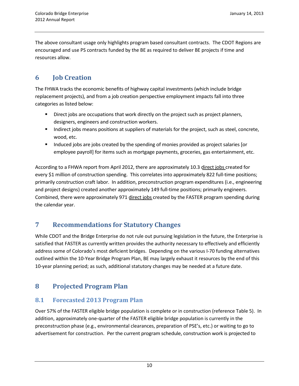The above consultant usage only highlights program based consultant contracts. The CDOT Regions are encouraged and use PS contracts funded by the BE as required to deliver BE projects if time and resources allow.

# **6 Job Creation**

The FHWA tracks the economic benefits of highway capital investments (which include bridge replacement projects), and from a job creation perspective employment impacts fall into three categories as listed below:

- **Direct jobs are occupations that work directly on the project such as project planners,** designers, engineers and construction workers.
- Indirect jobs means positions at suppliers of materials for the project, such as steel, concrete, wood, etc.
- **Induced jobs are jobs created by the spending of monies provided as project salaries [or** employee payroll] for items such as mortgage payments, groceries, gas entertainment, etc.

According to a FHWA report from April 2012, there are approximately 10.3 direct jobs created for every \$1 million of construction spending. This correlates into approximately 822 full-time positions; primarily construction craft labor. In addition, preconstruction program expenditures (i.e., engineering and project designs) created another approximately 149 full-time positions; primarily engineers. Combined, there were approximately 971 direct jobs created by the FASTER program spending during the calendar year.

# **7 Recommendations for Statutory Changes**

While CDOT and the Bridge Enterprise do not rule out pursuing legislation in the future, the Enterprise is satisfied that FASTER as currently written provides the authority necessary to effectively and efficiently address some of Colorado's most deficient bridges. Depending on the various I-70 funding alternatives outlined within the 10-Year Bridge Program Plan, BE may largely exhaust it resources by the end of this 10-year planning period; as such, additional statutory changes may be needed at a future date.

# **8 Projected Program Plan**

## **8.1 Forecasted 2013 Program Plan**

Over 57% of the FASTER eligible bridge population is complete or in construction (reference Table 5). In addition, approximately one-quarter of the FASTER eligible bridge population is currently in the preconstruction phase (e.g., environmental clearances, preparation of PSE's, etc.) or waiting to go to advertisement for construction. Per the current program schedule, construction work is projected to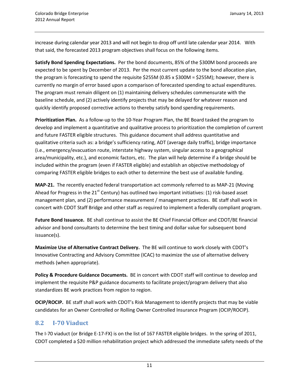increase during calendar year 2013 and will not begin to drop off until late calendar year 2014. With that said, the forecasted 2013 program objectives shall focus on the following items.

**Satisfy Bond Spending Expectations.** Per the bond documents, 85% of the \$300M bond proceeds are expected to be spent by December of 2013. Per the most current update to the bond allocation plan, the program is forecasting to spend the requisite \$255M (0.85 x \$300M = \$255M); however, there is currently no margin of error based upon a comparison of forecasted spending to actual expenditures. The program must remain diligent on (1) maintaining delivery schedules commensurate with the baseline schedule, and (2) actively identify projects that may be delayed for whatever reason and quickly identify proposed corrective actions to thereby satisfy bond spending requirements.

**Prioritization Plan.** As a follow-up to the 10-Year Program Plan, the BE Board tasked the program to develop and implement a quantitative and qualitative process to prioritization the completion of current and future FASTER eligible structures. This guidance document shall address quantitative and qualitative criteria such as: a bridge's sufficiency rating, ADT (average daily traffic), bridge importance (i.e., emergency/evacuation route, interstate highway system, singular access to a geographical area/municipality, etc.), and economic factors, etc. The plan will help determine if a bridge should be included within the program (even if FASTER eligible) and establish an objective methodology of comparing FASTER eligible bridges to each other to determine the best use of available funding.

**MAP-21.** The recently enacted federal transportation act commonly referred to as MAP-21 (Moving Ahead for Progress in the 21 $^{\rm st}$  Century) has outlined two important initiatives: (1) risk-based asset management plan, and (2) performance measurement / management practices. BE staff shall work in concert with CDOT Staff Bridge and other staff as required to implement a federally compliant program.

**Future Bond Issuance.** BE shall continue to assist the BE Chief Financial Officer and CDOT/BE financial advisor and bond consultants to determine the best timing and dollar value for subsequent bond issuance(s).

**Maximize Use of Alternative Contract Delivery.** The BE will continue to work closely with CDOT's Innovative Contracting and Advisory Committee (ICAC) to maximize the use of alternative delivery methods (when appropriate).

**Policy & Procedure Guidance Documents.** BE in concert with CDOT staff will continue to develop and implement the requisite P&P guidance documents to facilitate project/program delivery that also standardizes BE work practices from region to region.

**OCIP/ROCIP.** BE staff shall work with CDOT's Risk Management to identify projects that may be viable candidates for an Owner Controlled or Rolling Owner Controlled Insurance Program (OCIP/ROCIP).

## **8.2 I-70 Viaduct**

The I-70 viaduct (or Bridge E-17-FX) is on the list of 167 FASTER eligible bridges. In the spring of 2011, CDOT completed a \$20 million rehabilitation project which addressed the immediate safety needs of the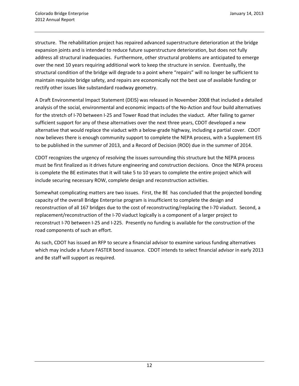structure. The rehabilitation project has repaired advanced superstructure deterioration at the bridge expansion joints and is intended to reduce future superstructure deterioration, but does not fully address all structural inadequacies. Furthermore, other structural problems are anticipated to emerge over the next 10 years requiring additional work to keep the structure in service. Eventually, the structural condition of the bridge will degrade to a point where "repairs" will no longer be sufficient to maintain requisite bridge safety, and repairs are economically not the best use of available funding or rectify other issues like substandard roadway geometry.

A Draft Environmental Impact Statement (DEIS) was released in November 2008 that included a detailed analysis of the social, environmental and economic impacts of the No-Action and four build alternatives for the stretch of I-70 between I-25 and Tower Road that includes the viaduct. After failing to garner sufficient support for any of these alternatives over the next three years, CDOT developed a new alternative that would replace the viaduct with a below-grade highway, including a partial cover. CDOT now believes there is enough community support to complete the NEPA process, with a Supplement EIS to be published in the summer of 2013, and a Record of Decision (ROD) due in the summer of 2014.

CDOT recognizes the urgency of resolving the issues surrounding this structure but the NEPA process must be first finalized as it drives future engineering and construction decisions. Once the NEPA process is complete the BE estimates that it will take 5 to 10 years to complete the entire project which will include securing necessary ROW, complete design and reconstruction activities.

Somewhat complicating matters are two issues. First, the BE has concluded that the projected bonding capacity of the overall Bridge Enterprise program is insufficient to complete the design and reconstruction of all 167 bridges due to the cost of reconstructing/replacing the I-70 viaduct. Second, a replacement/reconstruction of the I-70 viaduct logically is a component of a larger project to reconstruct I-70 between I-25 and I-225. Presently no funding is available for the construction of the road components of such an effort.

As such, CDOT has issued an RFP to secure a financial advisor to examine various funding alternatives which may include a future FASTER bond issuance. CDOT intends to select financial advisor in early 2013 and Be staff will support as required.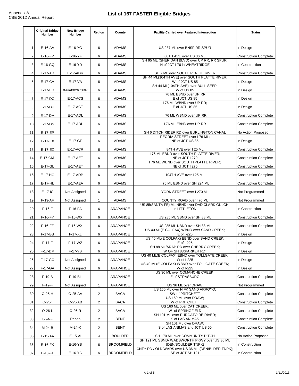|                | <b>Original Bridge</b><br><b>Number</b> | <b>New Bridge</b><br><b>Number</b> | Region         | County            | <b>Facility Carried over Featured Intersection</b>                              | <b>Status</b>                |
|----------------|-----------------------------------------|------------------------------------|----------------|-------------------|---------------------------------------------------------------------------------|------------------------------|
|                |                                         |                                    |                |                   |                                                                                 |                              |
| $\mathbf{1}$   | E-16-AA                                 | $E-16-YG$                          | 6              | <b>ADAMS</b>      | US 287 ML over BNSF RR SPUR                                                     | In Design                    |
| 2              | $E-16-FP$                               | $E-16-YF$                          | 6              | <b>ADAMS</b>      | 80TH AVE over US 36 ML                                                          | <b>Construction Complete</b> |
| 3              | $E-16-GQ$                               | $E-16-YD$                          | 6              | <b>ADAMS</b>      | SH 95 ML (SHERIDAN BLVD) over UP RR. RR SPUR:<br>N of JCT I 76 in WHEATRIDGE    | In Construction              |
| 4              | E-17-AR                                 | E-17-ADR                           | 6              | <b>ADAMS</b>      | SH 7 ML over SOUTH PLATTE RIVER<br>SH 44 ML(104TH AVE) over SOUTH PLATTE RIVER: | <b>Construction Complete</b> |
| 5              | E-17-CA                                 | E-17-VA                            | 6              | ADAMS             | W of JCT US 85                                                                  | In Design                    |
| 6              | E-17-ER                                 | 044A002673BR                       | 6              | <b>ADAMS</b>      | SH 44 ML(104TH AVE) over BULL SEEP;<br>W of US 85                               | In Design                    |
| $\overline{7}$ | E-17-DC                                 | <b>E-17-ACS</b>                    | 6              | <b>ADAMS</b>      | I 76 ML EBND over UP RR;<br>E of JCT US 85                                      | In Design                    |
| 8              | E-17-DU                                 | <b>E-17-ACT</b>                    | 6              | <b>ADAMS</b>      | 176 ML WBND over UP RR;<br>E of JCT US 85                                       | In Design                    |
| 9              | E-17-DM                                 | E-17-ADL                           | 6              | <b>ADAMS</b>      | 176 ML WBND over UP RR                                                          | <b>Construction Complete</b> |
| 10             | E-17-DN                                 | E-17-ADL                           | 6              | <b>ADAMS</b>      | I 76 ML EBND over UP RR                                                         | <b>Construction Complete</b> |
| 11             | E-17-EP                                 |                                    | 6              | <b>ADAMS</b>      | SH 6 DITCH RIDER RD over BURLINGTON CANAL                                       | No Action Proposed           |
| 12             | $E-17-EX$                               | E-17-GF                            | 6              | <b>ADAMS</b>      | PEORIA STREET over I 76 ML:<br>NE of JCT US 85                                  | In Design                    |
| 13             | $E-17-EZ$                               | E-17-ACR                           | 6              | <b>ADAMS</b>      | 84TH AVE over I 25 ML                                                           | <b>Construction Complete</b> |
| 14             | E-17-GM                                 | <b>E-17-AET</b>                    | 6              | <b>ADAMS</b>      | I 76 ML EBND over SOUTH PLATTE RIVER;<br>NE of JCT I 270                        | <b>Construction Complete</b> |
|                |                                         |                                    |                |                   | I 76 ML WBND over SOUTH PLATTE RIVER;                                           |                              |
| 15             | E-17-GL                                 | <b>E-17-AET</b>                    | 6              | <b>ADAMS</b>      | NE of JCT I 270                                                                 | <b>Construction Complete</b> |
| 16             | $E-17-HG$                               | $E-17-ADP$                         | 6              | <b>ADAMS</b>      | 104TH AVE over I 25 ML                                                          | <b>Construction Complete</b> |
| 17             | E-17-HL                                 | E-17-AEA                           | 6              | <b>ADAMS</b>      | 176 ML EBND over SH 224 ML                                                      | <b>Construction Complete</b> |
| 18             | $E-17-IC$                               | Not Assigned                       | 6              | ADAMS             | YORK STREET over I 270 ML                                                       | Not Programmed               |
| 19             | $F-19-AF$                               | Not Assigned                       | 1              | <b>ADAMS</b>      | COUNTY ROAD over I 70 ML<br>US 85(SANTA FE) ML NBND over DAD CLARK GULCH;       | Not Programmed               |
| 20             | $F-16-F$                                | $F-16-FA$                          | 6              | ARAPAHOE          | in LITTLETON                                                                    | In Construction              |
| 21             | $F-16-FY$                               | $F-16-WX$                          | 6              | ARAPAHOE          | US 285 ML SBND over SH 88 ML                                                    | <b>Construction Complete</b> |
| 22             | $F-16-FZ$                               | $F-16-WX$                          | 6              | ARAPAHOE          | US 285 ML NBND over SH 88 ML<br>US 40 ML(E COLFAX) WBND over SAND CREEK;        | <b>Construction Complete</b> |
| 23             | <b>F-17-BS</b>                          | F-17-XL                            | 6              | ARAPAHOE          | E of I-225                                                                      | In Design                    |
| 24             | $F-17-F$                                | $F-17-WZ$                          | 6              | ARAPAHOE          | US 40 ML(E COLFAX) EBND over SAND CREEK;<br>E of I-225                          | In Design                    |
| 25             | F-17-DM                                 | F-17-YB                            | 6              | ARAPAHOE          | SH 88 ML/ARAP RD over CHERRY CREEK;<br>W OF SH 83(PARKER RD)                    | In Design                    |
| 26             | F-17-GO                                 | Not Assigned                       | 6              | ARAPAHOE          | US 40 ML(E COLFAX) EBND over TOLLGATE CREEK;<br>W of I-225                      | In Design                    |
| 27             | F-17-GA                                 | Not Assigned                       | 6              | ARAPAHOE          | US 40 ML(E COLFAX) WBND over TOLLGATE CREEK;<br>W of I-225                      | In Design                    |
| 28             | $F-19-B$                                | F-19-BL                            | $\mathbf{1}$   | ARAPAHOE          | US 36 ML over COMANCHE CREEK;<br>E of STRASBURG                                 | <b>Construction Complete</b> |
| 29             | $F-19-F$                                | Not Assigned                       | $\mathbf{1}$   | ARAPAHOE          | US 36 ML over DRAW                                                              | Not Programmed               |
| 30             | $O-25-H$                                | O-25-AA                            | $\overline{2}$ | <b>BACA</b>       | US 160 ML over N FK SAND ARROYO;<br>SW of PRITCHETT                             | <b>Construction Complete</b> |
|                | $O-25-I$                                | $O-25-AB$                          | $\overline{2}$ | <b>BACA</b>       | US 160 ML over DRAW;<br>W of PRITCHETT                                          | <b>Construction Complete</b> |
| 31             |                                         |                                    |                |                   | US 160 ML over CAT CREEK;                                                       |                              |
| 32             | $O-26-L$                                | $O-26-R$                           | $\overline{2}$ | <b>BACA</b>       | W of SPRINGFIELD<br>SH 101 ML over PURGATOIRE RIVER;                            | <b>Construction Complete</b> |
| 33             | $L-24-F$                                | Rehab                              | $\overline{c}$ | BENT              | S of LAS ANIMAS<br>SH 101 ML over DRAW;                                         | <b>Construction Complete</b> |
| 34             | M-24-B                                  | M-24-K                             | $\overline{c}$ | <b>BENT</b>       | S of LAS ANIMAS and JCT US 50                                                   | <b>Construction Complete</b> |
| 35             | E-15-AA                                 | E-15-AI                            | 4              | <b>BOULDER</b>    | SH 170 ML over COMMUNITY DITCH<br>SH 121 ML SBND- WADSWORTH PKWY over US 36 ML  | No Action Proposed           |
| 36             | $E-16-FK$                               | E-16-YB                            | 6              | <b>BROOMFIELD</b> | (DEN/BOULDER TNPK)                                                              | In Construction              |
| 37             | $E-16-FL$                               | E-16-YC                            | 6              | <b>BROOMFIELD</b> | CNTY RD / OLD WADS over US 36 ML (DEN/BLDER TNPK);<br>SE of JCT SH 121          | In Construction              |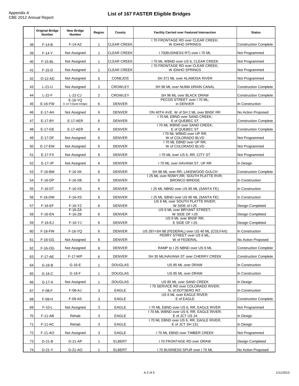|    | <b>Original Bridge</b><br><b>Number</b> | <b>New Bridge</b><br>Number      | Region         | County             | <b>Facility Carried over Featured Intersection</b>                          | <b>Status</b>                |
|----|-----------------------------------------|----------------------------------|----------------|--------------------|-----------------------------------------------------------------------------|------------------------------|
| 38 | $F-14-B$                                | $F-14-AZ$                        | $\mathbf{1}$   | <b>CLEAR CREEK</b> | 170 FRONTAGE RD over CLEAR CREEK:<br>W IDAHO SPRINGS                        | <b>Construction Complete</b> |
| 39 | $F-14-Y$                                | Not Assigned                     | $\mathbf{1}$   | <b>CLEAR CREEK</b> | I 70(BUSINESS RT) over I 70 ML                                              | Not Programmed               |
| 40 | F-15-BL                                 | Not Assigned                     | $\mathbf{1}$   | <b>CLEAR CREEK</b> | 170 ML WBND over US 6, CLEAR CREEK                                          | Not Programmed               |
|    |                                         |                                  |                |                    | 170 FRONTAGE RD over CLEAR CREEK;                                           |                              |
| 41 | $F-15-D$                                | Not Assigned                     | 1              | <b>CLEAR CREEK</b> | W IDAHO SPRINGS                                                             | Not Programmed               |
| 42 | O-12-AD                                 | Not Assigned                     | 5              | <b>CONEJOS</b>     | SH 371 ML over ALAMOSA RIVER                                                | Not Programmed               |
| 43 | $L-21-U$                                | Not Assigned                     | 2              | <b>CROWLEY</b>     | SH 96 ML over NUMA DRAIN CANAL                                              | <b>Construction Complete</b> |
| 44 | $L-22-F$                                | $L-22-CJ$                        | $\overline{2}$ | <b>CROWLEY</b>     | SH 96 ML over BLACK DRAW                                                    | <b>Construction Complete</b> |
| 45 | E-16-FW                                 | $E-16-YQ$<br>E-16-YZ(ped bridge) | 6              | <b>DENVER</b>      | PECOS STREET over I 70 ML;<br>in DENVER                                     | In Construction              |
| 46 | E-17-AH                                 | Not Assigned                     | 6              | <b>DENVER</b>      | ON 40TH AVE W of SH 2 ML over BNSF RR                                       | No Action Proposed           |
| 47 | E-17-BY                                 | <b>E-17-AER</b>                  | 6              | <b>DENVER</b>      | I 70 ML EBND over SAND CREEK;<br>E of QUEBEC ST                             | <b>Construction Complete</b> |
| 48 | E-17-GE                                 | $E-17-AER$                       | 6              | <b>DENVER</b>      | 170 ML WBND over SAND CREEK:<br>E of QUEBEC ST                              |                              |
|    |                                         |                                  |                |                    | I 70 ML WBND over UP RR;                                                    | <b>Construction Complete</b> |
| 49 | E-17-DF                                 | Not Assigned                     | 6              | <b>DENVER</b>      | W of COLORADO BLVD                                                          | Not Programmed               |
| 50 | E-17-EW                                 | Not Assigned                     | 6              | <b>DENVER</b>      | I 70 ML EBND over UP RR;<br>W of COLORADO BLVD                              | Not Programmed               |
| 51 | $E-17-FX$                               | Not Assigned                     | 6              | <b>DENVER</b>      | 170 ML over US 6, RR, CITY ST                                               | Not Programmed               |
| 52 | $E-17-JP$                               | Not Assigned                     | 6              | <b>DENVER</b>      | I 70 ML over HAVANA ST, UP RR                                               | In Design                    |
| 53 | F-16-BM                                 | $F-16-XK$                        | 6              | <b>DENVER</b>      | SH 88 ML over RR, LAKEWOOD GULCH                                            | <b>Construction Complete</b> |
| 54 | F-16-DP                                 | $F-16-XB$                        | 6              | <b>DENVER</b>      | I 25 ML over RDWY, RR, SOUTH PLATTE RVR;<br><b>BRONCO BRIDGE</b>            | In Construction              |
| 55 | F-16-DT                                 | $F-16-XS$                        | 6              | <b>DENVER</b>      | 125 ML NBND over US 85 ML (SANTA FE)                                        | In Construction              |
| 56 | F-16-DW                                 | $F-16-XS$                        | 6              | <b>DENVER</b>      | 125 ML SBND over US 85 ML (SANTA FE)                                        | In Construction              |
| 57 | $F-16-EF$                               | $F-16-YZ$                        | 6              | <b>DENVER</b>      | US 6 ML over SOUTH PLATTE RIVER;<br>W SIDE of I-25                          | Design Completed             |
| 58 | F-16-EN                                 | $F-16-ZA$<br>$F-16-ZB$           | 6              | <b>DENVER</b>      | US 6 ML over BRYANT STREET;<br>W SIDE OF I-25                               | <b>Design Completed</b>      |
|    |                                         |                                  |                |                    | US 6 ML over BNSF RR:                                                       |                              |
| 59 | $F-16-EJ$                               | $F-16-YJ$                        | 6              | <b>DENVER</b>      | E SIDE OF I-25                                                              | Design Completed             |
| 60 | F-16-FW                                 | F-16-YQ                          | 6              | <b>DENVER</b>      | US 287+SH 88 (FEDERAL) over US 40 ML (COLFAX)<br>PERRY STREET over US 6 ML; | In Construction              |
| 61 | $F-16-GG$                               | Not Assigned                     | 6              | <b>DENVER</b>      | W of FEDERAL                                                                | No Action Proposed           |
| 62 | F-16-OG                                 | Not Assigned                     | 6              | <b>DENVER</b>      | RAMP to I 25 NBND over US 6 ML                                              | <b>Construction Complete</b> |
| 63 | <b>F-17-AE</b>                          | F-17-WP                          | 6              | <b>DENVER</b>      | SH 30 ML/HAVANA ST over CHERRY CREEK                                        | <b>Construction Complete</b> |
| 64 | $G-16-B$                                | $G-16-E$                         | 1              | <b>DOUGLAS</b>     | US 85 ML over DRAW                                                          | In Construction              |
| 65 | $G-16-C$                                | $G-16-F$                         | 1              | <b>DOUGLAS</b>     | US 85 ML over DRAW                                                          | In Construction              |
| 66 | G-17-A                                  | Not Assigned                     | $\mathbf{1}$   | <b>DOUGLAS</b>     | US 85 ML over SAND CREEK                                                    | In Design                    |
| 67 | $F-08-F$                                | F-08-AJ                          | 3              | EAGLE              | I 70 SERVICE RD over COLORADO RIVER;<br>N. of DOTSERO INT.                  | In Construction              |
| 68 | $F-09-H$                                | F-09-AS                          | 3              | EAGLE              | US 6 ML over EAGLE RIVER;<br>E of EAGLE                                     | <b>Construction Complete</b> |
| 69 | $F-10-L$                                | Not Assigned                     | 3              | EAGLE              | 170 ML EBND over US 6, RR, EAGLE RIVER                                      | Not Programmed               |
| 70 | $F-11-AB$                               | Rehab                            | 3              | EAGLE              | I 70 ML WBND over US 6, RR, EAGLE RIVER;<br>E of JCT US 24                  | In Design                    |
| 71 | F-11-AC                                 | Rehab                            | 3              | EAGLE              | I 70 ML EBND over US 6, RR, EAGLE RIVER;<br>E of JCT SH 131                 | In Design                    |
| 72 | F-11-AO                                 | Not Assigned                     | 3              | EAGLE              | I 70 ML EBND over TIMBER CREEK                                              | Not Programmed               |
| 73 | $G-21-B$                                | G-21-AP                          | 1              | ELBERT             | I 70 FRONTAGE RD over DRAW                                                  | Design Completed             |
|    |                                         |                                  |                |                    |                                                                             |                              |
| 74 | $G-21-Y$                                | G-21-AO                          | $\mathbf{1}$   | ELBERT             | I 70 BUSINESS SPUR over I 70 ML                                             | No Action Proposed           |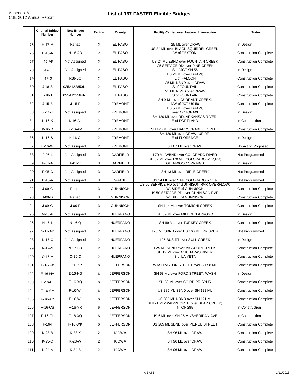|     | <b>Original Bridge</b><br><b>Number</b> | <b>New Bridge</b><br><b>Number</b> | Region         | County           | <b>Facility Carried over Featured Intersection</b>                    | <b>Status</b>                |
|-----|-----------------------------------------|------------------------------------|----------------|------------------|-----------------------------------------------------------------------|------------------------------|
| 75  | H-17-M                                  | Rehab                              | $\overline{2}$ | EL PASO          | 125 ML over DRAW<br>US 24 ML over BLACK SQUIRREL CREEK;               | In Design                    |
| 76  | $H-18-A$                                | <b>H-18-AD</b>                     | $\overline{2}$ | <b>EL PASO</b>   | W of PEYTON                                                           | <b>Construction Complete</b> |
| 77  | $I-17-AE$                               | Not Assigned                       | 2              | EL PASO          | US 24 ML EBND over FOUNTAIN CREEK<br>I 25 SERVICE RD over PINE CREEK; | <b>Construction Complete</b> |
| 78  | $I-17-O$                                | Not Assigned                       | 2              | EL PASO          | S of JCT SH 56<br>US 24 ML over DRAW:                                 | In Design                    |
| 79  | $I-18-G$                                | $I-18-BQ$                          | $\overline{2}$ | EL PASO          | E of FALCON                                                           | <b>Construction Complete</b> |
| 80  | $J-18-S$                                | 025A122850NL                       | 2              | EL PASO          | I 25 ML NBND over DRAW;<br>S of FOUNTAIN                              | <b>Construction Complete</b> |
| 81  | $J-18-T$                                | 025A122564NL                       | $\overline{2}$ | EL PASO          | I 25 ML NBND over DRAW;<br>S of FOUNTAIN                              | <b>Construction Complete</b> |
| 82  | $J-15-B$                                | $J-15-F$                           | 2              | <b>FREMONT</b>   | SH 9 ML over CURRANT CREEK;<br>NW of JCT US 50                        | <b>Construction Complete</b> |
| 83  | $K-14-J$                                | Not Assigned                       | $\overline{2}$ | <b>FREMONT</b>   | US 50 ML over DRAW,<br>near COTOPAXI                                  | In Design                    |
| 84  | K-16-K                                  | K-16-AL                            | 2              | <b>FREMONT</b>   | SH 120 ML over RR, ARKANSAS RIVER;<br>E of PORTLAND                   | In Construction              |
| 85  | $K-16-C$                                | K-16-AM                            | 2              | <b>FREMONT</b>   | SH 120 ML over HARDSCRABBLE CREEK                                     | <b>Construction Complete</b> |
| 86  | $K-16-S$                                | K-16-CI                            | 2              | <b>FREMONT</b>   | SH 120 ML over DRAW, UP RR;<br>E of FLORENCE                          | In Design                    |
| 87  | $K-16-W$                                | Not Assigned                       | 2              | <b>FREMONT</b>   | SH 67 ML over DRAW                                                    | No Action Proposed           |
| 88  | $F-05-L$                                | Not Assigned                       | 3              | <b>GARFIELD</b>  | 170 ML WBND over COLORADO RIVER                                       | Not Programmed               |
| 89  | $F-07-A$                                | $F-07-V$                           | 3              | <b>GARFIELD</b>  | SH 82 ML over I70 ML, COLORADO RVR, RR;<br><b>GLENWOOD SPRINGS</b>    | In Design                    |
| 90  | $F-05-C$                                | Not Assigned                       | 3              | <b>GARFIELD</b>  | SH 13 ML over RIFLE CREEK                                             | Not Programmed               |
| 91  | $D-13-A$                                | Not Assigned                       | 3              | GRAND            | US 34 ML over N FK COLORADO RIVER                                     | Not Programmed               |
| 92  | $J-09-C$                                | Rehab                              | 3              | <b>GUNNISON</b>  | US 50 SERVICE RD over GUNNISON RVR OVERFLOW;<br>W. SIDE of GUNNISON   | <b>Construction Complete</b> |
| 93  | $J-09-D$                                | Rehab                              | 3              | <b>GUNNISON</b>  | US 50 SERVICE RD over GUNNISON RVR;<br>W. SIDE of GUNNISON            | <b>Construction Complete</b> |
| 94  | $J-09-G$                                | $J-09-F$                           | 3              | <b>GUNNISON</b>  | SH 114 ML over TOMICHI CREEK                                          | <b>Construction Complete</b> |
| 95  | M-16-P                                  | Not Assigned                       | 2              | <b>HUERFANO</b>  | SH 69 ML over MILLIKEN ARROYO                                         | In Design                    |
| 96  | N-16-L                                  | $N-16-Q$                           | 2              | <b>HUERFANO</b>  | SH 69 ML over TURKEY CREEK                                            | <b>Construction Complete</b> |
| 97  | N-17-AD                                 | Not Assigned                       | 2              | <b>HUERFANO</b>  | 125 ML SBND over US 160 ML, RR SPUR                                   | Not Programmed               |
| 98  | N-17-C                                  | Not Assigned                       | $\overline{2}$ | <b>HUERFANO</b>  | 125 BUS RT over SULL CREEK                                            | In Design                    |
| 99  | N-17-N                                  | <b>N-17-BU</b>                     | $\overline{2}$ | <b>HUERFANO</b>  | 125 ML NBND over MISSOURI CREEK                                       | <b>Construction Complete</b> |
| 100 | O-16-A                                  | $O-16-C$                           | 2              | <b>HUERFANO</b>  | SH 12 ML over CUCHARAS RIVER;<br>S of LA VETA                         | <b>Construction Complete</b> |
| 101 | $E-16-FX$                               | $E-16-XR$                          | 6              | <b>JEFFERSON</b> | WASHINGTON STREET over SH 58 ML                                       | <b>Construction Complete</b> |
| 102 | E-16-HA                                 | E-16-HG                            | 6              | JEFFERSON        | SH 58 ML over FORD STREET, WASH                                       | In Design                    |
| 103 | $E-16-HI$                               | $E-16-XQ$                          | 6              | JEFFERSON        | SH 58 ML over CO.RD, RR SPUR                                          | <b>Construction Complete</b> |
| 104 | F-16-AM                                 | F-16-WI                            | 6              | JEFFERSON        | US 285 ML SBND over SH 121 ML                                         | <b>Construction Complete</b> |
| 105 | F-16-AY                                 | F-16-WI                            | 6              | JEFFERSON        | US 285 ML NBND over SH 121 ML                                         | <b>Construction Complete</b> |
| 106 | $F-16-CS$                               | $F-16-YR$                          | 6              | JEFFERSON        | SH121 ML-WADSWORTH over BEAR CREEK;<br>N OF 285                       | In Construction              |
| 107 | $F-16-FL$                               | $F-16-XQ$                          | 6              | JEFFERSON        | US 6 ML over SH 95 ML/SHERIDAN AVE                                    | In Construction              |
| 108 | $F-16-I$                                | F-16-WK                            | 6              | <b>JEFFERSON</b> | US 285 ML SBND over PIERCE STREET                                     | <b>Construction Complete</b> |
| 109 | K-23-B                                  | K-23-X                             | $\overline{2}$ | <b>KIOWA</b>     | SH 96 ML over DRAW                                                    | <b>Construction Complete</b> |
| 110 | K-23-C                                  | K-23-W                             | $\overline{2}$ | <b>KIOWA</b>     | SH 96 ML over DRAW                                                    | <b>Construction Complete</b> |
| 111 | $K-24-A$                                | K-24-B                             | $\overline{2}$ | <b>KIOWA</b>     | SH 96 ML over DRAW                                                    | <b>Construction Complete</b> |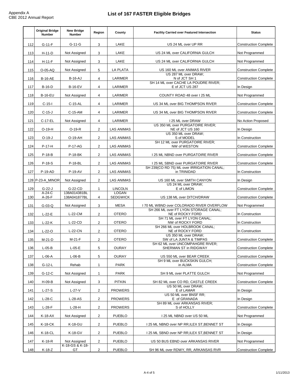|     | <b>Original Bridge</b><br><b>Number</b> | <b>New Bridge</b><br><b>Number</b> | Region         | County                          | <b>Facility Carried over Featured Intersection</b>        | <b>Status</b>                |
|-----|-----------------------------------------|------------------------------------|----------------|---------------------------------|-----------------------------------------------------------|------------------------------|
| 112 | $G-11-F$                                | $G-11-G$                           | 3              | LAKE                            | US 24 ML over UP RR                                       | <b>Construction Complete</b> |
| 113 | $H-11-D$                                | Not Assigned                       | 3              | LAKE                            | US 24 ML over CALIFORNIA GULCH                            | Not Programmed               |
| 114 | $H-11-F$                                | Not Assigned                       | 3              | LAKE                            | US 24 ML over CALIFORNIA GULCH                            | Not Programmed               |
| 115 | O-05-AQ                                 | Not Assigned                       | 5              | LA PLATA                        | US 160 ML over ANIMAS RIVER                               | <b>Construction Complete</b> |
| 116 | <b>B-16-AE</b>                          | <b>B-16-AJ</b>                     | 4              | LARIMER                         | US 287 ML over DRAW;<br>N of JCT SH 1                     | <b>Construction Complete</b> |
| 117 | $B-16-D$                                | <b>B-16-EV</b>                     | 4              | LARIMER                         | SH 14 ML over CACHE LA POUDRE RIVER;<br>E of JCT US 287   | In Design                    |
| 118 | <b>B-16-EU</b>                          | Not Assigned                       | 4              | LARIMER                         | COUNTY ROAD 48 over I 25 ML                               | Not Programmed               |
| 119 | $C-15-I$                                | C-15-AL                            | 4              | LARIMER                         | US 34 ML over BIG THOMPSON RIVER                          | <b>Construction Complete</b> |
| 120 | $C-15-J$                                | $C-15-AM$                          | 4              | LARIMER                         | US 34 ML over BIG THOMPSON RIVER                          | <b>Construction Complete</b> |
| 121 | C-17-EL                                 | Not Assigned                       | 4              | LARIMER                         | I 25 ML over DRAW                                         | No Action Proposed           |
| 122 | $O-19-H$                                | $O-19-R$                           | $\overline{2}$ | <b>LAS ANIMAS</b>               | US 350 ML over PURGATOIRE RIVER;<br>NE of JCT US 160      | In Design                    |
| 123 | $O-19-J$                                | O-19-AH                            | $\overline{2}$ | <b>LAS ANIMAS</b>               | US 350 ML over DRAW:<br>S of MODEL                        | In Construction              |
| 124 | $P-17-H$                                | P-17-AG                            | $\overline{2}$ | <b>LAS ANIMAS</b>               | SH 12 ML over PURGATOIRE RIVER:<br>NW of WESTON           | <b>Construction Complete</b> |
| 125 | $P-18-B$                                | P-18-BK                            | $\overline{2}$ | <b>LAS ANIMAS</b>               | I 25 ML NBND over PURGATOIRE RIVER                        | <b>Construction Complete</b> |
| 126 | $P-18-S$                                | P-18-BL                            | $\overline{2}$ | <b>LAS ANIMAS</b>               | I 25 ML SBND over PURGATOIRE RIVER                        | <b>Construction Complete</b> |
| 127 | P-19-AD                                 | <b>P-19-AV</b>                     | $\overline{2}$ | <b>LAS ANIMAS</b>               | SH 239(CO RD 75) ML over IRRIGATION CANAL;<br>in TRINIDAD | In Construction              |
|     | 128 P-23-A_MINOR                        | Not Assigned                       | $\overline{2}$ | <b>LAS ANIMAS</b>               | US 160 ML over SMITH CANYON                               | In Design                    |
| 129 | $G-22-J$                                | G-22-CD                            | 1              | <b>LINCOLN</b>                  | US 24 ML over DRAW;<br>E of LIMON                         | <b>Construction Complete</b> |
| 130 | $A-24-C$<br>$A-26-F$                    | 138A014381BL<br>138A041877BL       | 4              | <b>LOGAN</b><br><b>SEDGWICK</b> | US 138 ML over DITCH/DRAW                                 | <b>Construction Complete</b> |
| 131 | $G-03-Q$                                | Not Assigned                       | 3              | <b>MESA</b>                     | 170 ML WBND over COLORADO RIVER OVERFLOW                  | Not Programmed               |
| 132 | $L-22-E$                                | $L-22-CM$                          | 2              | <b>OTERO</b>                    | SH 266 ML over FT LYON STORAGE CANAL;<br>NE of ROCKY FORD | In Construction              |
| 133 | $L-22-K$                                | $L-22-CD$                          | $\overline{2}$ | <b>OTERO</b>                    | SH 71 ML over FT LYON CANAL:<br>NW of ROCKY FORD          | In Construction              |
| 134 | $L-22-C$                                | $L-22-CN$                          | $\overline{2}$ | <b>OTERO</b>                    | SH 266 ML over HOLBROOK CANAL;<br>NE of ROCKY FORD        | In Construction              |
| 135 | $M-21-D$                                | M-21-F                             | $\overline{2}$ | <b>OTERO</b>                    | US 350 ML over DRAW:<br>SW of LA JUNTA & TIMPAS           | <b>Construction Complete</b> |
|     |                                         |                                    |                |                                 | SH 62 ML over UNCOMPAHGRE RIVER;                          |                              |
| 136 | $L-05-B$                                | $L-05-E$                           | 5              | <b>OURAY</b>                    | SHERMAN ST in RIDGWAY                                     | <b>Construction Complete</b> |
| 137 | $L-06-A$                                | $L-06-B$                           | 5              | <b>OURAY</b>                    | US 550 ML over BEAR CREEK<br>SH 9 ML over BUCKSKIN GULCH; | <b>Construction Complete</b> |
| 138 | $G-12-L$                                | Rehab                              | 1              | <b>PARK</b>                     | in ALMA                                                   | <b>Construction Complete</b> |
| 139 | $G-12-C$                                | Not Assigned                       | $\mathbf{1}$   | PARK                            | SH 9 ML over PLATTE GULCH                                 | Not Programmed               |
| 140 | $H-09-B$                                | Not Assigned                       | 3              | PITKIN                          | SH 82 ML over CO RD, CASTLE CREEK                         | <b>Construction Complete</b> |
| 141 | $L-27-S$                                | $L-27-V$                           | $\overline{2}$ | <b>PROWERS</b>                  | US 50 ML over DRAW;<br>E of LAMAR                         | In Design                    |
| 142 | $L-28-C$                                | L-28-AS                            | $\overline{2}$ | <b>PROWERS</b>                  | US 50 ML over BNSF RR;<br>E of GRANADA                    | In Design                    |
| 143 | $L-28-F$                                | $L-28-H$                           | $\overline{2}$ | <b>PROWERS</b>                  | SH 89 ML over ARKANSAS RIVER;<br>S of HOLLY               | <b>Construction Complete</b> |
| 144 | K-18-AX                                 | Not Assigned                       | $\overline{2}$ | <b>PUEBLO</b>                   | I 25 ML NBND over US 50 ML                                | Not Programmed               |
| 145 | K-18-CK                                 | K-18-GU                            | $\overline{2}$ | <b>PUEBLO</b>                   | I 25 ML NBND over NP RR, ILEX ST, BENNET ST               | In Design                    |
| 146 | K-18-CL                                 | K-18-GV                            | $\overline{2}$ | <b>PUEBLO</b>                   | I 25 ML SBND over NP RR, ILEX ST, BENNET ST               | In Design                    |
| 147 | $K-18-R$                                | Not Assigned                       | $\overline{2}$ | <b>PUEBLO</b>                   | US 50 BUS EBND over ARKANSAS RIVER                        | Not Programmed               |
| 148 | $K-18-Z$                                | K-18-GS & K-18-<br>GT              | $\overline{2}$ | <b>PUEBLO</b>                   | SH 96 ML over RDWY, RR, ARKANSAS RVR                      | <b>Construction Complete</b> |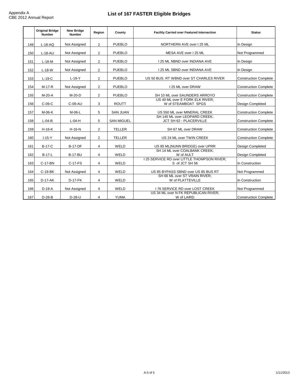|     | <b>Original Bridge</b><br><b>Number</b> | <b>New Bridge</b><br><b>Number</b> | Region         | County            | <b>Facility Carried over Featured Intersection</b>            | <b>Status</b>                |
|-----|-----------------------------------------|------------------------------------|----------------|-------------------|---------------------------------------------------------------|------------------------------|
| 149 | $L-18-AO$                               | Not Assigned                       | $\overline{2}$ | <b>PUEBLO</b>     | NORTHERN AVE over I 25 ML<br>In Design                        |                              |
| 150 | $L-18-AU$                               | Not Assigned                       | 2              | <b>PUEBLO</b>     | MESA AVE over I 25 ML                                         | Not Programmed               |
| 151 | $L-18-M$                                | Not Assigned                       | $\overline{2}$ | <b>PUEBLO</b>     | 125 ML NBND over INDIANA AVE                                  | In Design                    |
| 152 | $L-18-W$                                | Not Assigned                       | 2              | <b>PUEBLO</b>     | I 25 ML SBND over INDIANA AVE                                 | In Design                    |
| 153 | $L-19-C$                                | $L-19-Y$                           | 2              | <b>PUEBLO</b>     | US 50 BUS. RT WBND over ST CHARLES RIVER                      | <b>Construction Complete</b> |
| 154 | M-17-R                                  | Not Assigned                       | 2              | <b>PUEBLO</b>     | I 25 ML over DRAW                                             | <b>Construction Complete</b> |
| 155 | M-20-A                                  | M-20-D                             | 2              | <b>PUEBLO</b>     | SH 10 ML over SAUNDERS ARROYO                                 | <b>Construction Complete</b> |
| 156 | $C-09-C$                                | C-09-AU                            | 3              | <b>ROUTT</b>      | US 40 ML over E FORK ELK RIVER;<br>W of STEAMBOAT SPGS        | Design Completed             |
| 157 | M-06-K                                  | M-06-L                             | 5              | <b>SAN JUAN</b>   | US 550 ML over MINERAL CREEK                                  | <b>Construction Complete</b> |
| 158 | $L-04-B$                                | $L-04-H$                           | 5              | <b>SAN MIGUEL</b> | SH 145 ML over LEOPARD CREEK:<br>JCT SH 62 - PLACERVILLE      | <b>Construction Complete</b> |
| 159 | $H-16-K$                                | $H-16-N$                           | 2              | <b>TELLER</b>     | SH 67 ML over DRAW                                            | <b>Construction Complete</b> |
| 160 | $I-15-Y$                                | Not Assigned                       | 2              | <b>TELLER</b>     | US 24 ML over TWIN CREEK                                      | <b>Construction Complete</b> |
| 161 | <b>B-17-C</b>                           | <b>B-17-DF</b>                     | 4              | WELD              | US 85 ML(NUNN BRIDGE) over UPRR                               | Design Completed             |
| 162 | <b>B-17-L</b>                           | <b>B-17-BU</b>                     | 4              | WELD              | SH 14 ML over COALBANK CREEK:<br>W of AULT                    | <b>Design Completed</b>      |
| 163 | C-17-BN                                 | C-17-FS                            | 4              | WELD              | I 25 SERVICE RD over LITTLE THOMPSON RIVER;<br>S of JCT SH 56 | In Construction              |
| 164 | C-18-BK                                 | Not Assigned                       | 4              | WELD              | US 85 BYPASS SBND over US 85 BUS RT                           | Not Programmed               |
| 165 | D-17-AK                                 | D-17-FK                            | 4              | WELD              | SH 66 ML over ST VRAIN RIVER:<br>W of PLATTEVILLE             | In Construction              |
| 166 | $D-19-A$                                | Not Assigned                       | 4              | WELD              | 176 SERVICE RD over LOST CREEK<br>Not Programmed              |                              |
| 167 | $D-28-B$                                | $D-28-U$                           | 4              | <b>YUMA</b>       | US 34 ML over N FK REPUBLICAN RIVER;<br>W of LAIRD            | <b>Construction Complete</b> |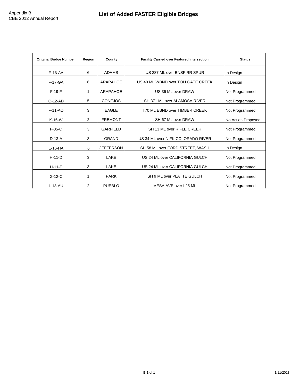| <b>Original Bridge Number</b> | Region | County           | <b>Facility Carried over Featured Intersection</b> | <b>Status</b>      |
|-------------------------------|--------|------------------|----------------------------------------------------|--------------------|
| $E-16-AA$                     | 6      | ADAMS            | US 287 ML over BNSF RR SPUR                        | In Design          |
| F-17-GA                       | 6      | ARAPAHOE         | US 40 ML WBND over TOLLGATE CREEK                  | In Design          |
| $F-19-F$                      | 1      | ARAPAHOE         | US 36 ML over DRAW                                 | Not Programmed     |
| $O-12-AD$                     | 5      | <b>CONEJOS</b>   | SH 371 ML over ALAMOSA RIVER                       | Not Programmed     |
| $F-11-AO$                     | 3      | <b>EAGLE</b>     | 170 ML EBND over TIMBER CREEK                      | Not Programmed     |
| $K-16-W$                      | 2      | <b>FREMONT</b>   | SH 67 ML over DRAW                                 | No Action Proposed |
| $F-05-C$                      | 3      | <b>GARFIELD</b>  | SH 13 ML over RIFLE CREEK                          | Not Programmed     |
| $D-13-A$                      | 3      | <b>GRAND</b>     | US 34 ML over N FK COLORADO RIVER                  | Not Programmed     |
| $E-16-HA$                     | 6      | <b>JEFFERSON</b> | SH 58 ML over FORD STREET, WASH                    | In Design          |
| $H-11-D$                      | 3      | LAKE             | US 24 ML over CALIFORNIA GULCH                     | Not Programmed     |
| $H-11-F$                      | 3      | LAKE             | US 24 ML over CALIFORNIA GULCH                     | Not Programmed     |
| $G-12-C$                      | 1      | <b>PARK</b>      | SH 9 ML over PLATTE GULCH                          | Not Programmed     |
| $L-18 - AU$                   | 2      | <b>PUEBLO</b>    | MESA AVE over 125 ML                               | Not Programmed     |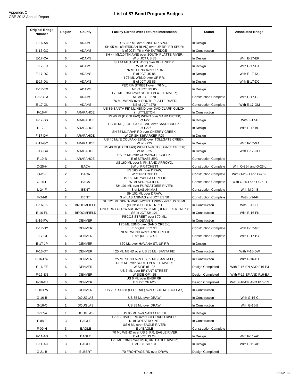r

| <b>Original Bridge</b><br>Number | Region         | County            | <b>Facility Carried over Featured Intersection</b>                            | <b>Status</b>                | <b>Associated Bridge</b> |
|----------------------------------|----------------|-------------------|-------------------------------------------------------------------------------|------------------------------|--------------------------|
| E-16-AA                          | 6              | <b>ADAMS</b>      | US 287 ML over BNSF RR SPUR                                                   | In Design                    |                          |
| $E-16-GQ$                        | 6              | <b>ADAMS</b>      | SH 95 ML (SHERIDAN BLVD) over UP RR, RR SPUR;<br>N of JCT I 76 in WHEATRIDGE  | In Construction              |                          |
| E-17-CA                          | 6              | <b>ADAMS</b>      | SH 44 ML(104TH AVE) over SOUTH PLATTE RIVER;<br>W of JCT US 85                | In Design                    | With E-17-ER             |
| E-17-ER                          | 6              | ADAMS             | SH 44 ML(104TH AVE) over BULL SEEP;<br>W of US 85                             | In Design                    | With E-17-CA             |
| E-17-DC                          | 6              | <b>ADAMS</b>      | I 76 ML EBND over UP RR;<br>E of JCT US 85                                    | In Design                    | With E-17-DU             |
| E-17-DU                          | 6              | <b>ADAMS</b>      | I 76 ML WBND over UP RR;<br>E of JCT US 85                                    | In Design                    | With E-17-DC             |
| $E-17-EX$                        | 6              | <b>ADAMS</b>      | PEORIA STREET over I 76 ML;<br>NE of JCT US 85                                | In Design                    |                          |
| E-17-GM                          | 6              | ADAMS             | I 76 ML EBND over SOUTH PLATTE RIVER;<br>NE of JCT I 270                      | <b>Construction Complete</b> | With E-17-GL             |
| E-17-GL                          | 6              | <b>ADAMS</b>      | I 76 ML WBND over SOUTH PLATTE RIVER;<br>NE of JCT I 270                      | <b>Construction Complete</b> | With E-17-GM             |
| $F-16-F$                         | 6              | ARAPAHOE          | US 85(SANTA FE) ML NBND over DAD CLARK GULCH;<br>in LITTLETON                 | In Construction              |                          |
| F-17-BS                          | 6              | ARAPAHOE          | US 40 ML(E COLFAX) WBND over SAND CREEK;<br>E of I-225                        | In Design                    | With F-17-F              |
| $F-17-F$                         | 6              | ARAPAHOE          | US 40 ML(E COLFAX) EBND over SAND CREEK;<br>E of I-225                        | In Design                    | With F-17-BS             |
| F-17-DM                          | 6              | ARAPAHOE          | SH 88 ML/ARAP RD over CHERRY CREEK;<br>W OF SH 83(PARKER RD)                  | In Design                    |                          |
| F-17-GO                          | 6              | ARAPAHOE          | US 40 ML(E COLFAX) EBND over TOLLGATE CREEK;<br>W of I-225                    | In Design                    | With F-17-GA             |
| F-17-GA                          | 6              | ARAPAHOE          | US 40 ML(E COLFAX) WBND over TOLLGATE CREEK;<br>W of I-225                    | In Design                    | With F-17-GO             |
| $F-19-B$                         | $\mathbf{1}$   | ARAPAHOE          | US 36 ML over COMANCHE CREEK:<br>E of STRASBURG                               | <b>Construction Complete</b> |                          |
| $O-25-H$                         | $\overline{2}$ | <b>BACA</b>       | US 160 ML over N FK SAND ARROYO;<br>SW of PRITCHETT                           | <b>Construction Complete</b> | With O-25-I and O-26-L   |
| $O-25-I$                         | $\overline{2}$ | <b>BACA</b>       | US 160 ML over DRAW;<br>W of PRITCHETT                                        | <b>Construction Complete</b> | With O-25-H and O-26-L   |
|                                  |                |                   | US 160 ML over CAT CREEK;                                                     |                              |                          |
| $O-26-L$                         | $\overline{2}$ | <b>BACA</b>       | W of SPRINGFIELD<br>SH 101 ML over PURGATOIRE RIVER;                          | <b>Construction Complete</b> | With O-25-I and O-25-H   |
| $L-24-F$                         | $\overline{2}$ | <b>BENT</b>       | S of LAS ANIMAS<br>SH 101 ML over DRAW;                                       | <b>Construction Complete</b> | With M-24-B              |
| M-24-B                           | $\overline{2}$ | <b>BENT</b>       | S of LAS ANIMAS and JCT US 50<br>SH 121 ML SBND- WADSWORTH PKWY over US 36 ML | <b>Construction Complete</b> | With L-24-F              |
| E-16-FK                          | 6              | <b>BROOMFIELD</b> | (DEN/BOULDER TNPK)<br>CNTY RD / OLD WADS over US 36 ML (DEN/BLDER TNPK);      | In Construction              | With E-16-FL             |
| $E-16-FL$                        | 6              | <b>BROOMFIELD</b> | SE of JCT SH 121<br>PECOS STREET over I 70 ML;                                | In Construction              | With E-16-FK             |
| E-16-FW                          | 6              | <b>DENVER</b>     | in DENVER<br>I 70 ML EBND over SAND CREEK;                                    | In Construction              |                          |
| E-17-BY                          | 6              | DENVER            | E of QUEBEC ST<br>I 70 ML WBND over SAND CREEK;                               | <b>Construction Complete</b> | With E-17-GE             |
| E-17-GE                          | 6              | <b>DENVER</b>     | E of QUEBEC ST                                                                | <b>Construction Complete</b> | With E-17-BY             |
| $E-17-JP$                        | 6              | <b>DENVER</b>     | I 70 ML over HAVANA ST, UP RR                                                 | In Design                    |                          |
| F-16-DT                          | 6              | <b>DENVER</b>     | 125 ML NBND over US 85 ML (SANTA FE)                                          | In Construction              | With F-16-DW             |
| F-16-DW                          | 6              | DENVER            | 125 ML SBND over US 85 ML (SANTA FE)<br>US 6 ML over SOUTH PLATTE RIVER;      | In Construction              | With F-16-DT             |
| $F-16-EF$                        | 6              | DENVER            | W SIDE of I-25<br>US 6 ML over BRYANT STREET;                                 | Design Completed             | With F-16-EN AND F16-EJ  |
| F-16-EN                          | 6              | <b>DENVER</b>     | W SIDE OF I-25<br>US 6 ML over BNSF RR;                                       | Design Completed             | With F-16-EF AND F16-EJ  |
| $F-16-EJ$                        | 6              | <b>DENVER</b>     | E SIDE OF I-25                                                                | Design Completed             | With F-16-EF AND F16-EN  |
| F-16-FW                          | 6              | <b>DENVER</b>     | US 287+SH 88 (FEDERAL) over US 40 ML (COLFAX)                                 | In Construction              |                          |
| $G-16-B$                         | $\mathbf{1}$   | <b>DOUGLAS</b>    | US 85 ML over DRAW                                                            | In Construction              | With G-16-C              |
| $G-16-C$                         | $\mathbf{1}$   | <b>DOUGLAS</b>    | US 85 ML over DRAW                                                            | In Construction              | With G-16-B              |
| G-17-A                           | $\mathbf{1}$   | <b>DOUGLAS</b>    | US 85 ML over SAND CREEK                                                      | In Design                    |                          |
| $F-08-F$                         | 3              | EAGLE             | 170 SERVICE RD over COLORADO RIVER:<br>N. of DOTSERO INT.                     | In Construction              |                          |
| $F-09-H$                         | 3              | EAGLE             | US 6 ML over EAGLE RIVER;<br>E of EAGLE                                       | <b>Construction Complete</b> |                          |
| $F-11-AB$                        | 3              | EAGLE             | I 70 ML WBND over US 6, RR, EAGLE RIVER;<br>E of JCT US 24                    | In Design                    | With F-11-AC             |
| $F-11-AC$                        | 3              | EAGLE             | 170 ML EBND over US 6, RR, EAGLE RIVER;<br>E of JCT SH 131                    | In Design                    | With F-11-AB             |
| $G-21-B$                         | $\mathbf{1}$   | ELBERT            | 170 FRONTAGE RD over DRAW                                                     | Design Completed             |                          |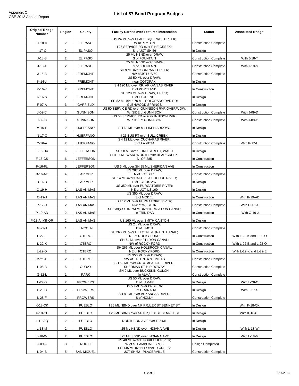L,

| <b>Original Bridge</b><br><b>Number</b> | Region         | County            | <b>Facility Carried over Featured Intersection</b>                      | <b>Status</b>                | <b>Associated Bridge</b> |
|-----------------------------------------|----------------|-------------------|-------------------------------------------------------------------------|------------------------------|--------------------------|
| H-18-A                                  | $\overline{2}$ | EL PASO           | US 24 ML over BLACK SQUIRREL CREEK;<br>W of PEYTON                      | <b>Construction Complete</b> |                          |
| $I-17 - O$                              | $\overline{2}$ | EL PASO           | I 25 SERVICE RD over PINE CREEK;<br>S of JCT SH 56                      | In Design                    |                          |
| $J-18-S$                                | $\overline{2}$ | EL PASO           | I 25 ML NBND over DRAW;<br>S of FOUNTAIN                                | <b>Construction Complete</b> | With J-18-T              |
| $J-18-T$                                | $\overline{2}$ | EL PASO           | I 25 ML NBND over DRAW;<br>S of FOUNTAIN                                | <b>Construction Complete</b> | With J-18-S              |
| $J-15-B$                                | $\overline{2}$ | <b>FREMONT</b>    | SH 9 ML over CURRANT CREEK;<br>NW of JCT US 50                          | <b>Construction Complete</b> |                          |
|                                         | $\overline{2}$ | <b>FREMONT</b>    | US 50 ML over DRAW,<br>near COTOPAXI                                    | In Design                    |                          |
| $K-14-J$                                |                | <b>FREMONT</b>    | SH 120 ML over RR, ARKANSAS RIVER;                                      |                              |                          |
| $K-16-K$                                | $\overline{2}$ |                   | E of PORTLAND<br>SH 120 ML over DRAW, UP RR;                            | In Construction              |                          |
| $K-16-S$                                | $\overline{2}$ | <b>FREMONT</b>    | E of FLORENCE<br>SH 82 ML over I70 ML, COLORADO RVR, RR;                | In Design                    |                          |
| $F-07-A$                                | 3              | GARFIELD          | <b>GLENWOOD SPRINGS</b><br>US 50 SERVICE RD over GUNNISON RVR OVERFLOW; | In Design                    |                          |
| $J-09-C$                                | 3              | <b>GUNNISON</b>   | W. SIDE of GUNNISON<br>US 50 SERVICE RD over GUNNISON RVR;              | <b>Construction Complete</b> | With J-09-D              |
| $J-09-D$                                | 3              | GUNNISON          | W. SIDE of GUNNISON                                                     | <b>Construction Complete</b> | With J-09-C              |
| M-16-P                                  | $\overline{2}$ | <b>HUERFANO</b>   | SH 69 ML over MILLIKEN ARROYO                                           | In Design                    |                          |
| $N-17-C$                                | $\overline{2}$ | <b>HUERFANO</b>   | 125 BUS RT over SULL CREEK<br>SH 12 ML over CUCHARAS RIVER;             | In Design                    |                          |
| $O-16-A$                                | $\overline{2}$ | <b>HUERFANO</b>   | S of LA VETA                                                            | <b>Construction Complete</b> | With P-17-H              |
| E-16-HA                                 | 6              | <b>JEFFERSON</b>  | SH 58 ML over FORD STREET, WASH                                         | In Design                    |                          |
| $F-16-CS$                               | 6              | <b>JEFFERSON</b>  | SH121 ML-WADSWORTH over BEAR CREEK;<br>N OF 285                         | In Construction              |                          |
| $F-16-FL$                               | 6              | <b>JEFFERSON</b>  | US 6 ML over SH 95 ML/SHERIDAN AVE                                      | In Construction              |                          |
| <b>B-16-AE</b>                          | 4              | LARIMER           | US 287 ML over DRAW;<br>N of JCT SH 1                                   | <b>Construction Complete</b> |                          |
| <b>B-16-D</b>                           | 4              | LARIMER           | SH 14 ML over CACHE LA POUDRE RIVER;<br>E of JCT US 287                 | In Design                    |                          |
| $O-19-H$                                | $\overline{2}$ | <b>LAS ANIMAS</b> | US 350 ML over PURGATOIRE RIVER;<br>NE of JCT US 160                    | In Design                    |                          |
| $O-19-J$                                | $\overline{2}$ | LAS ANIMAS        | US 350 ML over DRAW;<br>S of MODEL                                      | In Construction              | With P-19-AD             |
| P-17-H                                  | $\overline{2}$ | <b>LAS ANIMAS</b> | SH 12 ML over PURGATOIRE RIVER;<br>NW of WESTON                         | <b>Construction Complete</b> | With O-16-A              |
| P-19-AD                                 | $\overline{2}$ | <b>LAS ANIMAS</b> | SH 239(CO RD 75) ML over IRRIGATION CANAL;<br>in TRINIDAD               | In Construction              | With O-19-J              |
| P-23-A_MINOR                            | $\overline{2}$ | LAS ANIMAS        | US 160 ML over SMITH CANYON                                             | In Design                    |                          |
| $G-22-J$                                | $\mathbf{1}$   | <b>LINCOLN</b>    | US 24 ML over DRAW;<br>E of LIMON                                       | <b>Construction Complete</b> |                          |
| $L-22-E$                                | $\overline{2}$ | <b>OTERO</b>      | SH 266 ML over FT LYON STORAGE CANAL:<br>NE of ROCKY FORD               | In Construction              | With L-22-K and L-22-O   |
| $L-22-K$                                | $\overline{2}$ | <b>OTERO</b>      | SH 71 ML over FT LYON CANAL;<br>NW of ROCKY FORD                        | In Construction              | With L-22-E and L-22-O   |
| $L-22-O$                                | $\overline{2}$ | <b>OTERO</b>      | SH 266 ML over HOLBROOK CANAL;<br>NE of ROCKY FORD                      | In Construction              | With L-22-K and L-22-E   |
| M-21-D                                  | $\overline{2}$ | <b>OTERO</b>      | US 350 ML over DRAW;<br>SW of LA JUNTA & TIMPAS                         | <b>Construction Complete</b> |                          |
| $L-05-B$                                | 5              | <b>OURAY</b>      | SH 62 ML over UNCOMPAHGRE RIVER;<br>SHERMAN ST in RIDGWAY               | <b>Construction Complete</b> |                          |
|                                         |                | <b>PARK</b>       | SH 9 ML over BUCKSKIN GULCH;<br>in ALMA                                 | <b>Construction Complete</b> |                          |
| $G-12-L$                                | $\mathbf{1}$   |                   | US 50 ML over DRAW;                                                     |                              |                          |
| $L-27-S$                                | $\overline{2}$ | <b>PROWERS</b>    | E of LAMAR<br>US 50 ML over BNSF RR;                                    | In Design                    | With L-28-C              |
| $L-28-C$                                | $\overline{2}$ | <b>PROWERS</b>    | E of GRANADA<br>SH 89 ML over ARKANSAS RIVER:                           | In Design                    | With L-27-S              |
| $L-28-F$                                | $\overline{a}$ | <b>PROWERS</b>    | S of HOLLY                                                              | <b>Construction Complete</b> |                          |
| K-18-CK                                 | $\overline{2}$ | <b>PUEBLO</b>     | I 25 ML NBND over NP RR, ILEX ST, BENNET ST                             | In Design                    | With K-18-CK             |
| <b>K-18-CL</b>                          | $\overline{2}$ | PUEBLO            | I 25 ML SBND over NP RR, ILEX ST, BENNET ST                             | In Design                    | With K-18-CL             |
| $L-18-AQ$                               | $\overline{2}$ | <b>PUEBLO</b>     | NORTHERN AVE over I 25 ML                                               | In Design                    |                          |
| $L-18-M$                                | $\overline{2}$ | <b>PUEBLO</b>     | I 25 ML NBND over INDIANA AVE                                           | In Design                    | With L-18-W              |
| $L-18-W$                                | $\overline{2}$ | <b>PUEBLO</b>     | I 25 ML SBND over INDIANA AVE<br>US 40 ML over E FORK ELK RIVER;        | In Design                    | With L-18-M              |
| $C-09-C$                                | 3              | <b>ROUTT</b>      | W of STEAMBOAT SPGS                                                     | Design Completed             |                          |
| $L-04-B$                                | 5              | <b>SAN MIGUEL</b> | SH 145 ML over LEOPARD CREEK;<br>JCT SH 62 - PLACERVILLE                | <b>Construction Complete</b> |                          |